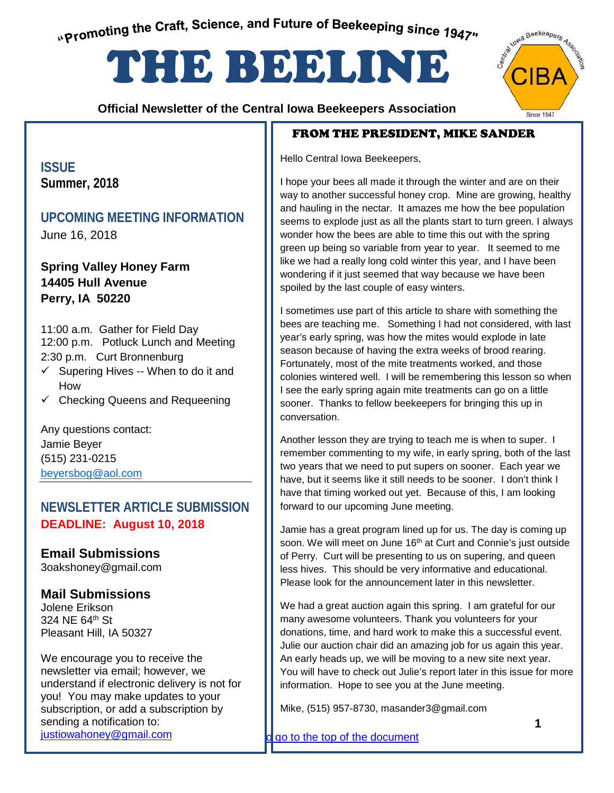<span id="page-0-0"></span>"Promoting the Craft, Science, and Future of Beekeeping since 1947"

# THE BEELINE

 **Official Newsletter of the Central Iowa Beekeepers Association**

## FROM THE PRESIDENT, MIKE SANDER

Hello Central Iowa Beekeepers,

I hope your bees all made it through the winter and are on their way to another successful honey crop. Mine are growing, healthy and hauling in the nectar. It amazes me how the bee population seems to explode just as all the plants start to turn green. I always wonder how the bees are able to time this out with the spring green up being so variable from year to year. It seemed to me like we had a really long cold winter this year, and I have been wondering if it just seemed that way because we have been spoiled by the last couple of easy winters.

I sometimes use part of this article to share with something the bees are teaching me. Something I had not considered, with last year's early spring, was how the mites would explode in late season because of having the extra weeks of brood rearing. Fortunately, most of the mite treatments worked, and those colonies wintered well. I will be remembering this lesson so when I see the early spring again mite treatments can go on a little sooner. Thanks to fellow beekeepers for bringing this up in conversation.

Another lesson they are trying to teach me is when to super. I remember commenting to my wife, in early spring, both of the last two years that we need to put supers on sooner. Each year we have, but it seems like it still needs to be sooner. I don't think I have that timing worked out yet. Because of this, I am looking forward to our upcoming June meeting.

Jamie has a great program lined up for us. The day is coming up soon. We will meet on June 16<sup>th</sup> at Curt and Connie's just outside of Perry. Curt will be presenting to us on supering, and queen less hives. This should be very informative and educational. Please look for the announcement later in this newsletter.

We had a great auction again this spring. I am grateful for our many awesome volunteers. Thank you volunteers for your donations, time, and hard work to make this a successful event. Julie our auction chair did an amazing job for us again this year. An early heads up, we will be moving to a new site next year. You will have to check out Julie's report later in this issue for more information. Hope to see you at the June meeting.

Mike, (515) 957-8730, masander3@gmail.com

go to the top of the document

**ISSUE Summer, 2018**

## **UPCOMING MEETING INFORMATION**

June 16, 2018

**Spring Valley Honey Farm 14405 Hull Avenue Perry, IA 50220**

11:00 a.m. Gather for Field Day 12:00 p.m. Potluck Lunch and Meeting 2:30 p.m. Curt Bronnenburg

- $\checkmark$  Supering Hives -- When to do it and How
- $\checkmark$  Checking Queens and Requeening

Any questions contact: Jamie Beyer (515) 231-0215 [beyersbog@aol.com](mailto:beyersbog@aol.com)

## **NEWSLETTER ARTICLE SUBMISSION DEADLINE: August 10, 2018**

**Email Submissions** 3oakshoney@gmail.com

## **Mail Submissions**

Jolene Erikson 324 NE 64<sup>th</sup> St Pleasant Hill, IA 50327

We encourage you to receive the newsletter via email; however, we understand if electronic delivery is not for you! You may make updates to your subscription, or add a subscription by sending a notification to: justiowahoney@gmail.com

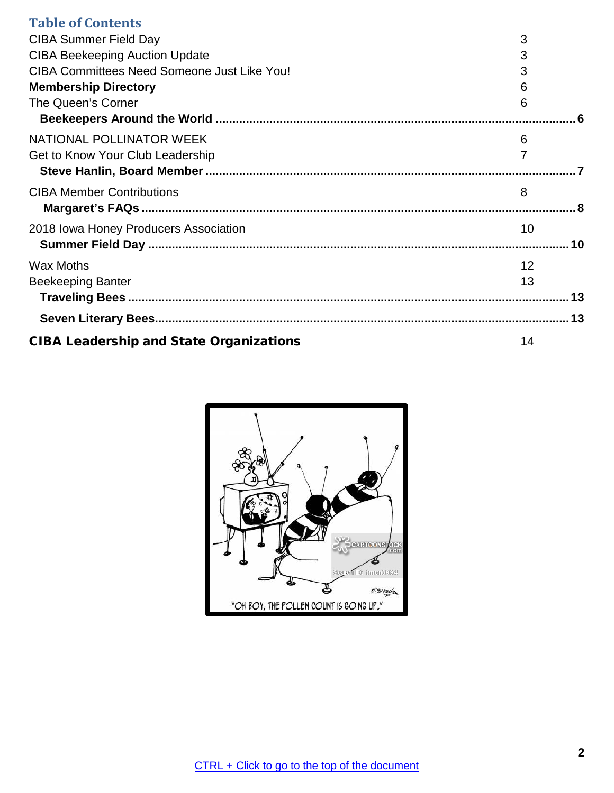| <b>Table of Contents</b>                           |                |  |
|----------------------------------------------------|----------------|--|
| <b>CIBA Summer Field Day</b>                       | 3              |  |
| <b>CIBA Beekeeping Auction Update</b>              | 3              |  |
| <b>CIBA Committees Need Someone Just Like You!</b> | 3              |  |
| <b>Membership Directory</b>                        | 6              |  |
| The Queen's Corner                                 | 6              |  |
|                                                    |                |  |
| NATIONAL POLLINATOR WEEK                           | 6              |  |
| Get to Know Your Club Leadership                   | $\overline{7}$ |  |
|                                                    |                |  |
| <b>CIBA Member Contributions</b>                   | 8              |  |
|                                                    |                |  |
| 2018 Iowa Honey Producers Association              | 10             |  |
|                                                    |                |  |
| <b>Wax Moths</b>                                   | 12             |  |
| <b>Beekeeping Banter</b>                           | 13             |  |
|                                                    |                |  |
|                                                    |                |  |
| <b>CIBA Leadership and State Organizations</b>     | 14             |  |

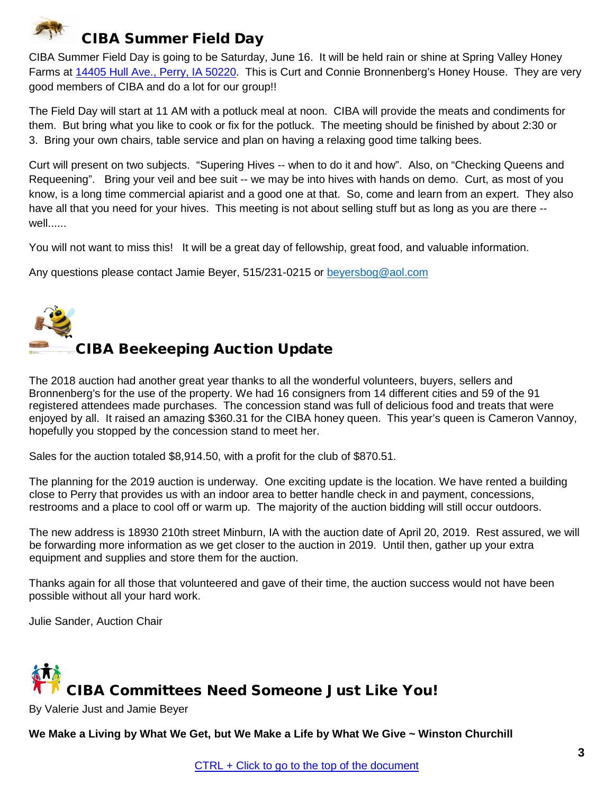<span id="page-2-0"></span>

CIBA Summer Field Day is going to be Saturday, June 16. It will be held rain or shine at Spring Valley Honey Farms at [14405 Hull Ave., Perry, IA](https://maps.google.com/?q=14405+Hull+Ave.,+Perry,+Ia+50220&entry=gmail&source=g) 50220. This is Curt and Connie Bronnenberg's Honey House. They are very good members of CIBA and do a lot for our group!!

The Field Day will start at 11 AM with a potluck meal at noon. CIBA will provide the meats and condiments for them. But bring what you like to cook or fix for the potluck. The meeting should be finished by about 2:30 or 3. Bring your own chairs, table service and plan on having a relaxing good time talking bees.

Curt will present on two subjects. "Supering Hives -- when to do it and how". Also, on "Checking Queens and Requeening". Bring your veil and bee suit -- we may be into hives with hands on demo. Curt, as most of you know, is a long time commercial apiarist and a good one at that. So, come and learn from an expert. They also have all that you need for your hives. This meeting is not about selling stuff but as long as you are there - well......

You will not want to miss this! It will be a great day of fellowship, great food, and valuable information.

Any questions please contact Jamie Beyer, 515/231-0215 or [beyersbog@aol.com](mailto:beyersbog@aol.com)

<span id="page-2-1"></span>

## CIBA Beekeeping Auction Update

The 2018 auction had another great year thanks to all the wonderful volunteers, buyers, sellers and Bronnenberg's for the use of the property. We had 16 consigners from 14 different cities and 59 of the 91 registered attendees made purchases. The concession stand was full of delicious food and treats that were enjoyed by all. It raised an amazing \$360.31 for the CIBA honey queen. This year's queen is Cameron Vannoy, hopefully you stopped by the concession stand to meet her.

Sales for the auction totaled \$8,914.50, with a profit for the club of \$870.51.

The planning for the 2019 auction is underway. One exciting update is the location. We have rented a building close to Perry that provides us with an indoor area to better handle check in and payment, concessions, restrooms and a place to cool off or warm up. The majority of the auction bidding will still occur outdoors.

The new address is 18930 210th street Minburn, IA with the auction date of April 20, 2019. Rest assured, we will be forwarding more information as we get closer to the auction in 2019. Until then, gather up your extra equipment and supplies and store them for the auction.

Thanks again for all those that volunteered and gave of their time, the auction success would not have been possible without all your hard work.

Julie Sander, Auction Chair

# <span id="page-2-2"></span>CIBA Committees Need Someone Just Like You!

By Valerie Just and Jamie Beyer

We Make a Living by What We Get, but We Make a Life by What We Give ~ Winston Churchill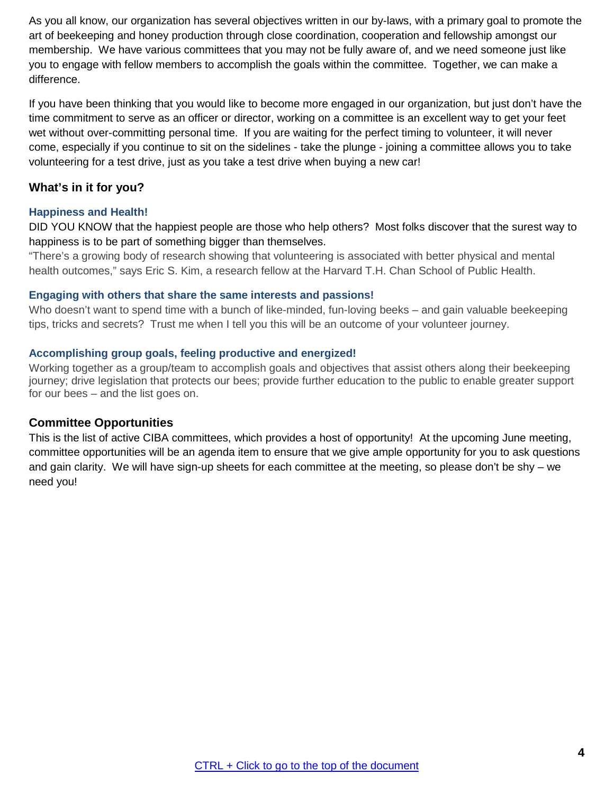As you all know, our organization has several objectives written in our by-laws, with a primary goal to promote the art of beekeeping and honey production through close coordination, cooperation and fellowship amongst our membership. We have various committees that you may not be fully aware of, and we need someone just like you to engage with fellow members to accomplish the goals within the committee. Together, we can make a difference.

If you have been thinking that you would like to become more engaged in our organization, but just don't have the time commitment to serve as an officer or director, working on a committee is an excellent way to get your feet wet without over-committing personal time. If you are waiting for the perfect timing to volunteer, it will never come, especially if you continue to sit on the sidelines - take the plunge - joining a committee allows you to take volunteering for a test drive, just as you take a test drive when buying a new car!

## **What's in it for you?**

## **Happiness and Health!**

DID YOU KNOW that the happiest people are those who help others? Most folks discover that the surest way to happiness is to be part of something bigger than themselves.

"There's a growing body of research showing that volunteering is associated with better physical and mental health outcomes," says Eric S. Kim, a research fellow at the Harvard T.H. Chan School of Public Health.

#### **Engaging with others that share the same interests and passions!**

Who doesn't want to spend time with a bunch of like-minded, fun-loving beeks – and gain valuable beekeeping tips, tricks and secrets? Trust me when I tell you this will be an outcome of your volunteer journey.

#### **Accomplishing group goals, feeling productive and energized!**

Working together as a group/team to accomplish goals and objectives that assist others along their beekeeping journey; drive legislation that protects our bees; provide further education to the public to enable greater support for our bees – and the list goes on.

## **Committee Opportunities**

This is the list of active CIBA committees, which provides a host of opportunity! At the upcoming June meeting, committee opportunities will be an agenda item to ensure that we give ample opportunity for you to ask questions and gain clarity. We will have sign-up sheets for each committee at the meeting, so please don't be shy – we need you!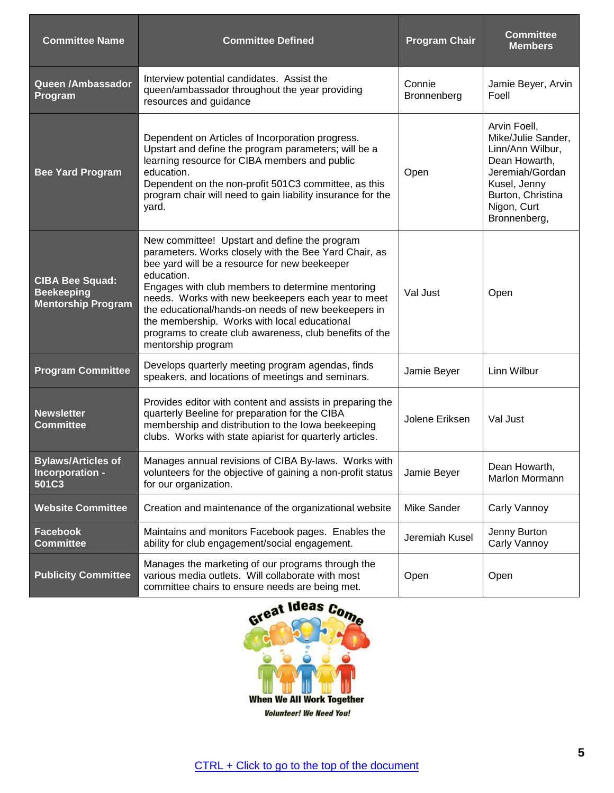| <b>Committee Name</b>                                                    | <b>Committee Defined</b>                                                                                                                                                                                                                                                                                                                                                                                                                                                | <b>Program Chair</b>  | <b>Committee</b><br><b>Members</b>                                                                                                                             |
|--------------------------------------------------------------------------|-------------------------------------------------------------------------------------------------------------------------------------------------------------------------------------------------------------------------------------------------------------------------------------------------------------------------------------------------------------------------------------------------------------------------------------------------------------------------|-----------------------|----------------------------------------------------------------------------------------------------------------------------------------------------------------|
| Queen /Ambassador<br>Program                                             | Interview potential candidates. Assist the<br>queen/ambassador throughout the year providing<br>resources and guidance                                                                                                                                                                                                                                                                                                                                                  | Connie<br>Bronnenberg | Jamie Beyer, Arvin<br>Foell                                                                                                                                    |
| <b>Bee Yard Program</b>                                                  | Dependent on Articles of Incorporation progress.<br>Upstart and define the program parameters; will be a<br>learning resource for CIBA members and public<br>education.<br>Dependent on the non-profit 501C3 committee, as this<br>program chair will need to gain liability insurance for the<br>yard.                                                                                                                                                                 | Open                  | Arvin Foell,<br>Mike/Julie Sander,<br>Linn/Ann Wilbur,<br>Dean Howarth,<br>Jeremiah/Gordan<br>Kusel, Jenny<br>Burton, Christina<br>Nigon, Curt<br>Bronnenberg, |
| <b>CIBA Bee Squad:</b><br><b>Beekeeping</b><br><b>Mentorship Program</b> | New committee! Upstart and define the program<br>parameters. Works closely with the Bee Yard Chair, as<br>bee yard will be a resource for new beekeeper<br>education.<br>Engages with club members to determine mentoring<br>needs. Works with new beekeepers each year to meet<br>the educational/hands-on needs of new beekeepers in<br>the membership. Works with local educational<br>programs to create club awareness, club benefits of the<br>mentorship program | Val Just              | Open                                                                                                                                                           |
| <b>Program Committee</b>                                                 | Develops quarterly meeting program agendas, finds<br>speakers, and locations of meetings and seminars.                                                                                                                                                                                                                                                                                                                                                                  | Jamie Beyer           | Linn Wilbur                                                                                                                                                    |
| <b>Newsletter</b><br><b>Committee</b>                                    | Provides editor with content and assists in preparing the<br>quarterly Beeline for preparation for the CIBA<br>membership and distribution to the lowa beekeeping<br>clubs. Works with state apiarist for quarterly articles.                                                                                                                                                                                                                                           | Jolene Eriksen        | Val Just                                                                                                                                                       |
| <b>Bylaws/Articles of</b><br>Incorporation -<br>501C3                    | Manages annual revisions of CIBA By-laws. Works with<br>volunteers for the objective of gaining a non-profit status<br>for our organization.                                                                                                                                                                                                                                                                                                                            | Jamie Beyer           | Dean Howarth,<br>Marlon Mormann                                                                                                                                |
| <b>Website Committee</b>                                                 | Creation and maintenance of the organizational website                                                                                                                                                                                                                                                                                                                                                                                                                  | Mike Sander           | Carly Vannoy                                                                                                                                                   |
| <b>Facebook</b><br><b>Committee</b>                                      | Maintains and monitors Facebook pages. Enables the<br>ability for club engagement/social engagement.                                                                                                                                                                                                                                                                                                                                                                    | Jeremiah Kusel        | Jenny Burton<br>Carly Vannoy                                                                                                                                   |
| <b>Publicity Committee</b>                                               | Manages the marketing of our programs through the<br>various media outlets. Will collaborate with most<br>committee chairs to ensure needs are being met.                                                                                                                                                                                                                                                                                                               | Open                  | Open                                                                                                                                                           |

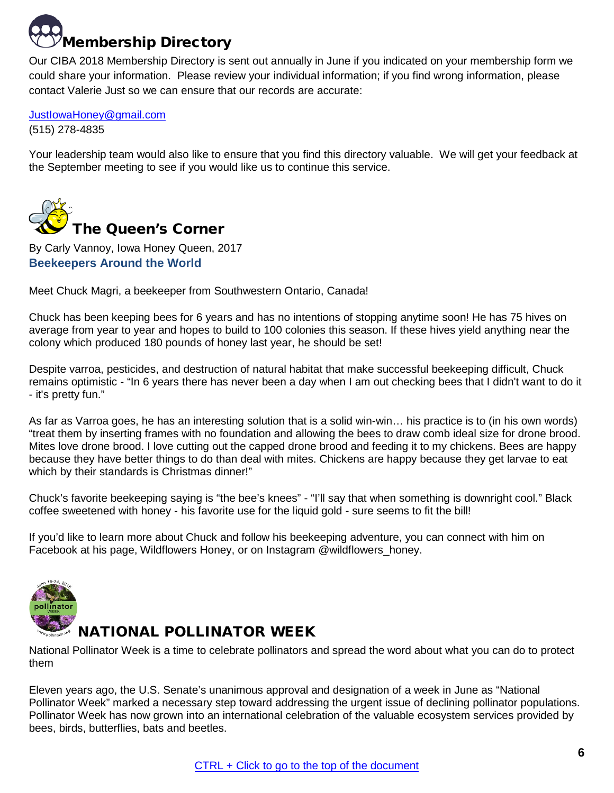## <span id="page-5-0"></span>[M](https://www.google.com/imgres?imgurl=https://2kjpox12cnap3zv36440iue7-wpengine.netdna-ssl.com/wp-content/uploads/2017/09/SBNIcon4_512px.png&imgrefurl=https://securityboulevard.com/2018/05/g-suite-directory-review/&docid=qw8rBb6F4MbfSM&tbnid=IJT3_6locfAO8M:&vet=12ahUKEwi24N6q75HbAhVD4VMKHYUVD8g4ZBAzKC4wLnoECAEQMQ..i&w=512&h=512&bih=660&biw=1536&q=picture%20of%20directory&ved=2ahUKEwi24N6q75HbAhVD4VMKHYUVD8g4ZBAzKC4wLnoECAEQMQ&iact=mrc&uact=8)embership Directory

Our CIBA 2018 Membership Directory is sent out annually in June if you indicated on your membership form we could share your information. Please review your individual information; if you find wrong information, please contact Valerie Just so we can ensure that our records are accurate:

[JustIowaHoney@gmail.com](mailto:JustIowaHoney@gmail.com) (515) 278-4835

Your leadership team would also like to ensure that you find this directory valuable. We will get your feedback at the September meeting to see if you would like us to continue this service.

<span id="page-5-1"></span>

<span id="page-5-2"></span>By Carly Vannoy, Iowa Honey Queen, 2017 **Beekeepers Around the World**

Meet Chuck Magri, a beekeeper from Southwestern Ontario, Canada!

Chuck has been keeping bees for 6 years and has no intentions of stopping anytime soon! He has 75 hives on average from year to year and hopes to build to 100 colonies this season. If these hives yield anything near the colony which produced 180 pounds of honey last year, he should be set!

Despite varroa, pesticides, and destruction of natural habitat that make successful beekeeping difficult, Chuck remains optimistic - "In 6 years there has never been a day when I am out checking bees that I didn't want to do it - it's pretty fun."

As far as Varroa goes, he has an interesting solution that is a solid win-win… his practice is to (in his own words) "treat them by inserting frames with no foundation and allowing the bees to draw comb ideal size for drone brood. Mites love drone brood. I love cutting out the capped drone brood and feeding it to my chickens. Bees are happy because they have better things to do than deal with mites. Chickens are happy because they get larvae to eat which by their standards is Christmas dinner!"

Chuck's favorite beekeeping saying is "the bee's knees" - "I'll say that when something is downright cool." Black coffee sweetened with honey - his favorite use for the liquid gold - sure seems to fit the bill!

If you'd like to learn more about Chuck and follow his beekeeping adventure, you can connect with him on Facebook at his page, Wildflowers Honey, or on Instagram @wildflowers\_honey.

<span id="page-5-3"></span>

## NATIONAL POLLINATOR WEEK

National Pollinator Week is a time to celebrate pollinators and spread the word about what you can do to protect them

Eleven years ago, the U.S. Senate's unanimous approval and designation of a week in June as "National Pollinator Week" marked a necessary step toward addressing the urgent issue of declining pollinator populations. Pollinator Week has now grown into an international celebration of the valuable ecosystem services provided by bees, birds, butterflies, bats and beetles.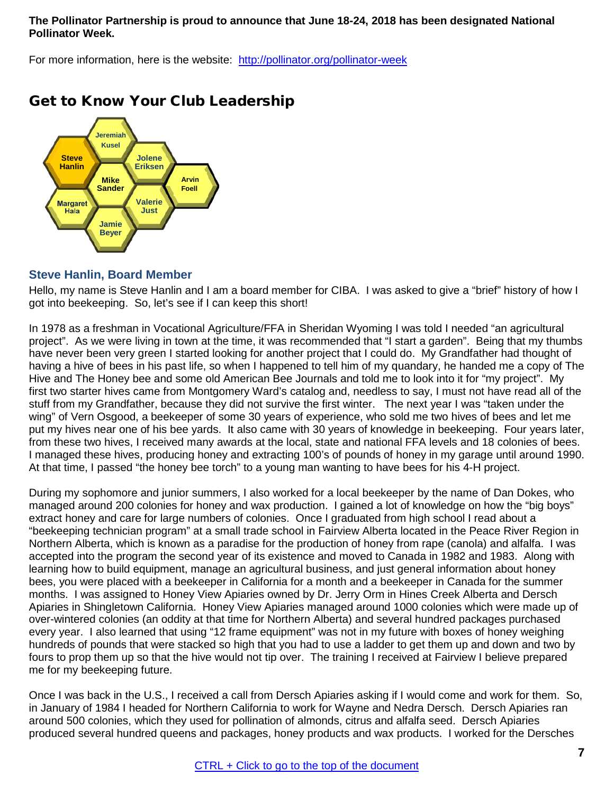#### **The Pollinator Partnership is proud to announce that June 18-24, 2018 has been designated National Pollinator Week.**

For more information, here is the website: <http://pollinator.org/pollinator-week>



## <span id="page-6-0"></span>Get to Know Your Club Leadership

## <span id="page-6-1"></span>**Steve Hanlin, Board Member**

Hello, my name is Steve Hanlin and I am a board member for CIBA. I was asked to give a "brief" history of how I got into beekeeping. So, let's see if I can keep this short!

In 1978 as a freshman in Vocational Agriculture/FFA in Sheridan Wyoming I was told I needed "an agricultural project". As we were living in town at the time, it was recommended that "I start a garden". Being that my thumbs have never been very green I started looking for another project that I could do. My Grandfather had thought of having a hive of bees in his past life, so when I happened to tell him of my quandary, he handed me a copy of The Hive and The Honey bee and some old American Bee Journals and told me to look into it for "my project". My first two starter hives came from Montgomery Ward's catalog and, needless to say, I must not have read all of the stuff from my Grandfather, because they did not survive the first winter. The next year I was "taken under the wing" of Vern Osgood, a beekeeper of some 30 years of experience, who sold me two hives of bees and let me put my hives near one of his bee yards. It also came with 30 years of knowledge in beekeeping. Four years later, from these two hives, I received many awards at the local, state and national FFA levels and 18 colonies of bees. I managed these hives, producing honey and extracting 100's of pounds of honey in my garage until around 1990. At that time, I passed "the honey bee torch" to a young man wanting to have bees for his 4-H project.

During my sophomore and junior summers, I also worked for a local beekeeper by the name of Dan Dokes, who managed around 200 colonies for honey and wax production. I gained a lot of knowledge on how the "big boys" extract honey and care for large numbers of colonies. Once I graduated from high school I read about a "beekeeping technician program" at a small trade school in Fairview Alberta located in the Peace River Region in Northern Alberta, which is known as a paradise for the production of honey from rape (canola) and alfalfa. I was accepted into the program the second year of its existence and moved to Canada in 1982 and 1983. Along with learning how to build equipment, manage an agricultural business, and just general information about honey bees, you were placed with a beekeeper in California for a month and a beekeeper in Canada for the summer months. I was assigned to Honey View Apiaries owned by Dr. Jerry Orm in Hines Creek Alberta and Dersch Apiaries in Shingletown California. Honey View Apiaries managed around 1000 colonies which were made up of over-wintered colonies (an oddity at that time for Northern Alberta) and several hundred packages purchased every year. I also learned that using "12 frame equipment" was not in my future with boxes of honey weighing hundreds of pounds that were stacked so high that you had to use a ladder to get them up and down and two by fours to prop them up so that the hive would not tip over. The training I received at Fairview I believe prepared me for my beekeeping future.

Once I was back in the U.S., I received a call from Dersch Apiaries asking if I would come and work for them. So, in January of 1984 I headed for Northern California to work for Wayne and Nedra Dersch. Dersch Apiaries ran around 500 colonies, which they used for pollination of almonds, citrus and alfalfa seed. Dersch Apiaries produced several hundred queens and packages, honey products and wax products. I worked for the Dersches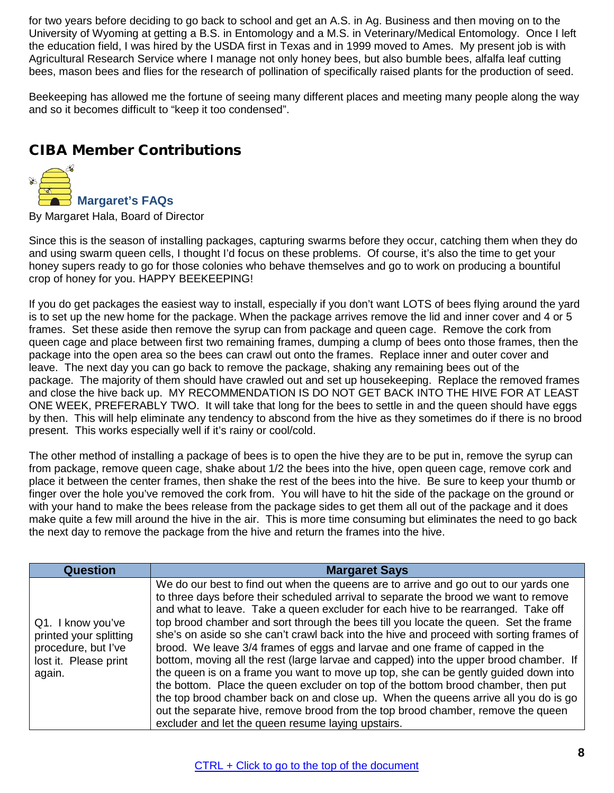for two years before deciding to go back to school and get an A.S. in Ag. Business and then moving on to the University of Wyoming at getting a B.S. in Entomology and a M.S. in Veterinary/Medical Entomology. Once I left the education field, I was hired by the USDA first in Texas and in 1999 moved to Ames. My present job is with Agricultural Research Service where I manage not only honey bees, but also bumble bees, alfalfa leaf cutting bees, mason bees and flies for the research of pollination of specifically raised plants for the production of seed.

<span id="page-7-0"></span>Beekeeping has allowed me the fortune of seeing many different places and meeting many people along the way and so it becomes difficult to "keep it too condensed".

## CIBA Member Contributions

<span id="page-7-1"></span>

By Margaret Hala, Board of Director

Since this is the season of installing packages, capturing swarms before they occur, catching them when they do and using swarm queen cells, I thought I'd focus on these problems. Of course, it's also the time to get your honey supers ready to go for those colonies who behave themselves and go to work on producing a bountiful crop of honey for you. HAPPY BEEKEEPING!

If you do get packages the easiest way to install, especially if you don't want LOTS of bees flying around the yard is to set up the new home for the package. When the package arrives remove the lid and inner cover and 4 or 5 frames. Set these aside then remove the syrup can from package and queen cage. Remove the cork from queen cage and place between first two remaining frames, dumping a clump of bees onto those frames, then the package into the open area so the bees can crawl out onto the frames. Replace inner and outer cover and leave. The next day you can go back to remove the package, shaking any remaining bees out of the package. The majority of them should have crawled out and set up housekeeping. Replace the removed frames and close the hive back up. MY RECOMMENDATION IS DO NOT GET BACK INTO THE HIVE FOR AT LEAST ONE WEEK, PREFERABLY TWO. It will take that long for the bees to settle in and the queen should have eggs by then. This will help eliminate any tendency to abscond from the hive as they sometimes do if there is no brood present. This works especially well if it's rainy or cool/cold.

The other method of installing a package of bees is to open the hive they are to be put in, remove the syrup can from package, remove queen cage, shake about 1/2 the bees into the hive, open queen cage, remove cork and place it between the center frames, then shake the rest of the bees into the hive. Be sure to keep your thumb or finger over the hole you've removed the cork from. You will have to hit the side of the package on the ground or with your hand to make the bees release from the package sides to get them all out of the package and it does make quite a few mill around the hive in the air. This is more time consuming but eliminates the need to go back the next day to remove the package from the hive and return the frames into the hive.

| Question                                                                                              | <b>Margaret Says</b>                                                                                                                                                                                                                                                                                                                                                                                                                                                                                                                                                                                                                                                                                                                                                                                                                                                                                                                                                                                                                        |
|-------------------------------------------------------------------------------------------------------|---------------------------------------------------------------------------------------------------------------------------------------------------------------------------------------------------------------------------------------------------------------------------------------------------------------------------------------------------------------------------------------------------------------------------------------------------------------------------------------------------------------------------------------------------------------------------------------------------------------------------------------------------------------------------------------------------------------------------------------------------------------------------------------------------------------------------------------------------------------------------------------------------------------------------------------------------------------------------------------------------------------------------------------------|
| Q1. I know you've<br>printed your splitting<br>procedure, but I've<br>lost it. Please print<br>again. | We do our best to find out when the queens are to arrive and go out to our yards one<br>to three days before their scheduled arrival to separate the brood we want to remove<br>and what to leave. Take a queen excluder for each hive to be rearranged. Take off<br>top brood chamber and sort through the bees till you locate the queen. Set the frame<br>she's on aside so she can't crawl back into the hive and proceed with sorting frames of<br>brood. We leave 3/4 frames of eggs and larvae and one frame of capped in the<br>bottom, moving all the rest (large larvae and capped) into the upper brood chamber. If<br>the queen is on a frame you want to move up top, she can be gently guided down into<br>the bottom. Place the queen excluder on top of the bottom brood chamber, then put<br>the top brood chamber back on and close up. When the queens arrive all you do is go<br>out the separate hive, remove brood from the top brood chamber, remove the queen<br>excluder and let the queen resume laying upstairs. |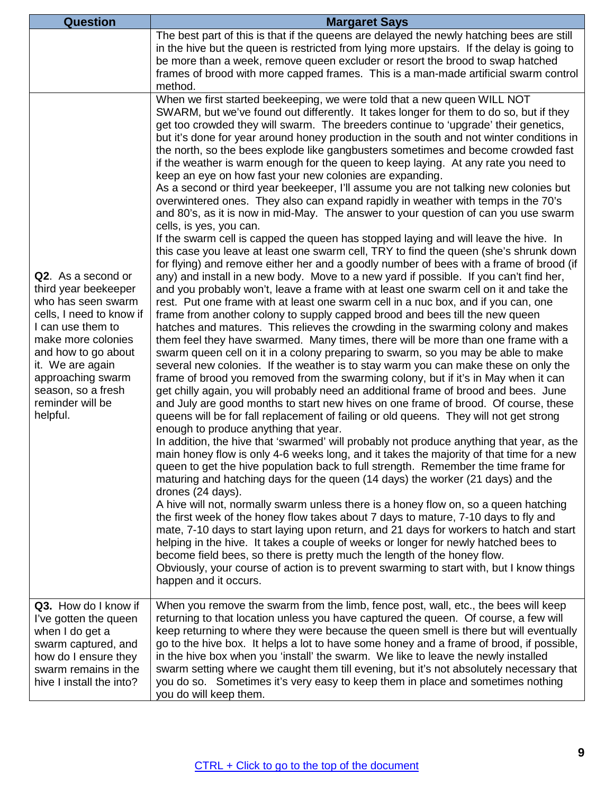| Question                                                                                                                                                                                                                                                      | <b>Margaret Says</b>                                                                                                                                                                                                                                                                                                                                                                                                                                                                                                                                                                                                                                                                                                                                                                                                                                                                                                                                                                                                                                                                                                                                                                                                                                                                                                                                                                                                                                                                                                                                                                                                                                                                                                                                                                                                                                                                                                                                                                                                                                                                                                                                                                                                                                                                                                                                                                                                                                                                                                                                                                                                                                                                                                                                                                                                                                                                                                                                                                                                                                                                                                                                                                                                                                       |
|---------------------------------------------------------------------------------------------------------------------------------------------------------------------------------------------------------------------------------------------------------------|------------------------------------------------------------------------------------------------------------------------------------------------------------------------------------------------------------------------------------------------------------------------------------------------------------------------------------------------------------------------------------------------------------------------------------------------------------------------------------------------------------------------------------------------------------------------------------------------------------------------------------------------------------------------------------------------------------------------------------------------------------------------------------------------------------------------------------------------------------------------------------------------------------------------------------------------------------------------------------------------------------------------------------------------------------------------------------------------------------------------------------------------------------------------------------------------------------------------------------------------------------------------------------------------------------------------------------------------------------------------------------------------------------------------------------------------------------------------------------------------------------------------------------------------------------------------------------------------------------------------------------------------------------------------------------------------------------------------------------------------------------------------------------------------------------------------------------------------------------------------------------------------------------------------------------------------------------------------------------------------------------------------------------------------------------------------------------------------------------------------------------------------------------------------------------------------------------------------------------------------------------------------------------------------------------------------------------------------------------------------------------------------------------------------------------------------------------------------------------------------------------------------------------------------------------------------------------------------------------------------------------------------------------------------------------------------------------------------------------------------------------------------------------------------------------------------------------------------------------------------------------------------------------------------------------------------------------------------------------------------------------------------------------------------------------------------------------------------------------------------------------------------------------------------------------------------------------------------------------------------------------|
|                                                                                                                                                                                                                                                               | The best part of this is that if the queens are delayed the newly hatching bees are still<br>in the hive but the queen is restricted from lying more upstairs. If the delay is going to<br>be more than a week, remove queen excluder or resort the brood to swap hatched<br>frames of brood with more capped frames. This is a man-made artificial swarm control<br>method.                                                                                                                                                                                                                                                                                                                                                                                                                                                                                                                                                                                                                                                                                                                                                                                                                                                                                                                                                                                                                                                                                                                                                                                                                                                                                                                                                                                                                                                                                                                                                                                                                                                                                                                                                                                                                                                                                                                                                                                                                                                                                                                                                                                                                                                                                                                                                                                                                                                                                                                                                                                                                                                                                                                                                                                                                                                                               |
| Q2. As a second or<br>third year beekeeper<br>who has seen swarm<br>cells, I need to know if<br>I can use them to<br>make more colonies<br>and how to go about<br>it. We are again<br>approaching swarm<br>season, so a fresh<br>reminder will be<br>helpful. | When we first started beekeeping, we were told that a new queen WILL NOT<br>SWARM, but we've found out differently. It takes longer for them to do so, but if they<br>get too crowded they will swarm. The breeders continue to 'upgrade' their genetics,<br>but it's done for year around honey production in the south and not winter conditions in<br>the north, so the bees explode like gangbusters sometimes and become crowded fast<br>if the weather is warm enough for the queen to keep laying. At any rate you need to<br>keep an eye on how fast your new colonies are expanding.<br>As a second or third year beekeeper, I'll assume you are not talking new colonies but<br>overwintered ones. They also can expand rapidly in weather with temps in the 70's<br>and 80's, as it is now in mid-May. The answer to your question of can you use swarm<br>cells, is yes, you can.<br>If the swarm cell is capped the queen has stopped laying and will leave the hive. In<br>this case you leave at least one swarm cell, TRY to find the queen (she's shrunk down<br>for flying) and remove either her and a goodly number of bees with a frame of brood (if<br>any) and install in a new body. Move to a new yard if possible. If you can't find her,<br>and you probably won't, leave a frame with at least one swarm cell on it and take the<br>rest. Put one frame with at least one swarm cell in a nuc box, and if you can, one<br>frame from another colony to supply capped brood and bees till the new queen<br>hatches and matures. This relieves the crowding in the swarming colony and makes<br>them feel they have swarmed. Many times, there will be more than one frame with a<br>swarm queen cell on it in a colony preparing to swarm, so you may be able to make<br>several new colonies. If the weather is to stay warm you can make these on only the<br>frame of brood you removed from the swarming colony, but if it's in May when it can<br>get chilly again, you will probably need an additional frame of brood and bees. June<br>and July are good months to start new hives on one frame of brood. Of course, these<br>queens will be for fall replacement of failing or old queens. They will not get strong<br>enough to produce anything that year.<br>In addition, the hive that 'swarmed' will probably not produce anything that year, as the<br>main honey flow is only 4-6 weeks long, and it takes the majority of that time for a new<br>queen to get the hive population back to full strength. Remember the time frame for<br>maturing and hatching days for the queen (14 days) the worker (21 days) and the<br>drones (24 days).<br>A hive will not, normally swarm unless there is a honey flow on, so a queen hatching<br>the first week of the honey flow takes about 7 days to mature, 7-10 days to fly and<br>mate, 7-10 days to start laying upon return, and 21 days for workers to hatch and start<br>helping in the hive. It takes a couple of weeks or longer for newly hatched bees to<br>become field bees, so there is pretty much the length of the honey flow.<br>Obviously, your course of action is to prevent swarming to start with, but I know things<br>happen and it occurs. |
| Q3. How do I know if<br>I've gotten the queen<br>when I do get a<br>swarm captured, and<br>how do I ensure they<br>swarm remains in the<br>hive I install the into?                                                                                           | When you remove the swarm from the limb, fence post, wall, etc., the bees will keep<br>returning to that location unless you have captured the queen. Of course, a few will<br>keep returning to where they were because the queen smell is there but will eventually<br>go to the hive box. It helps a lot to have some honey and a frame of brood, if possible,<br>in the hive box when you 'install' the swarm. We like to leave the newly installed<br>swarm setting where we caught them till evening, but it's not absolutely necessary that<br>you do so. Sometimes it's very easy to keep them in place and sometimes nothing<br>you do will keep them.                                                                                                                                                                                                                                                                                                                                                                                                                                                                                                                                                                                                                                                                                                                                                                                                                                                                                                                                                                                                                                                                                                                                                                                                                                                                                                                                                                                                                                                                                                                                                                                                                                                                                                                                                                                                                                                                                                                                                                                                                                                                                                                                                                                                                                                                                                                                                                                                                                                                                                                                                                                            |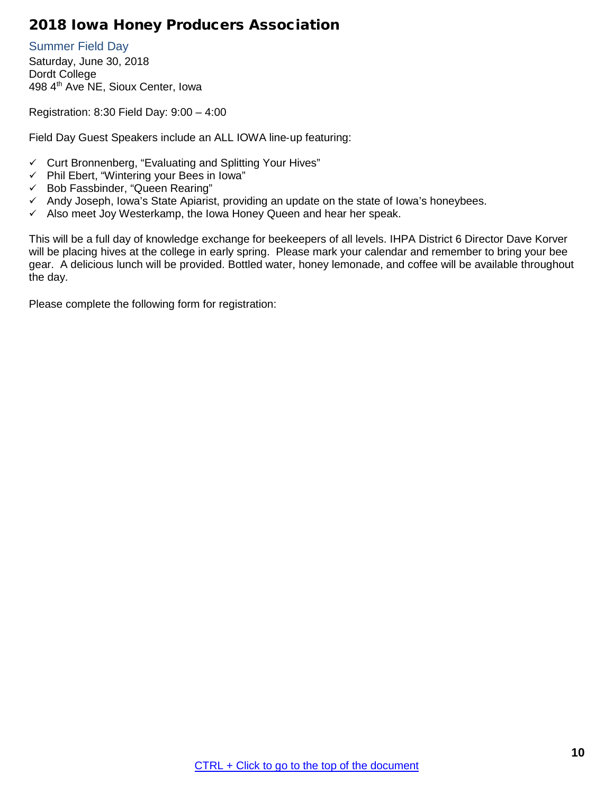## <span id="page-9-0"></span>2018 Iowa Honey Producers Association

<span id="page-9-1"></span>Summer Field Day Saturday, June 30, 2018 Dordt College 498 4<sup>th</sup> Ave NE, Sioux Center, Iowa

Registration: 8:30 Field Day: 9:00 – 4:00

Field Day Guest Speakers include an ALL IOWA line‐up featuring:

- $\checkmark$  Curt Bronnenberg, "Evaluating and Splitting Your Hives"
- $\checkmark$  Phil Ebert, "Wintering your Bees in Iowa"
- $\checkmark$  Bob Fassbinder, "Queen Rearing"
- $\checkmark$  Andy Joseph, Iowa's State Apiarist, providing an update on the state of Iowa's honeybees.
- $\checkmark$  Also meet Joy Westerkamp, the Iowa Honey Queen and hear her speak.

This will be a full day of knowledge exchange for beekeepers of all levels. IHPA District 6 Director Dave Korver will be placing hives at the college in early spring. Please mark your calendar and remember to bring your bee gear. A delicious lunch will be provided. Bottled water, honey lemonade, and coffee will be available throughout the day.

Please complete the following form for registration: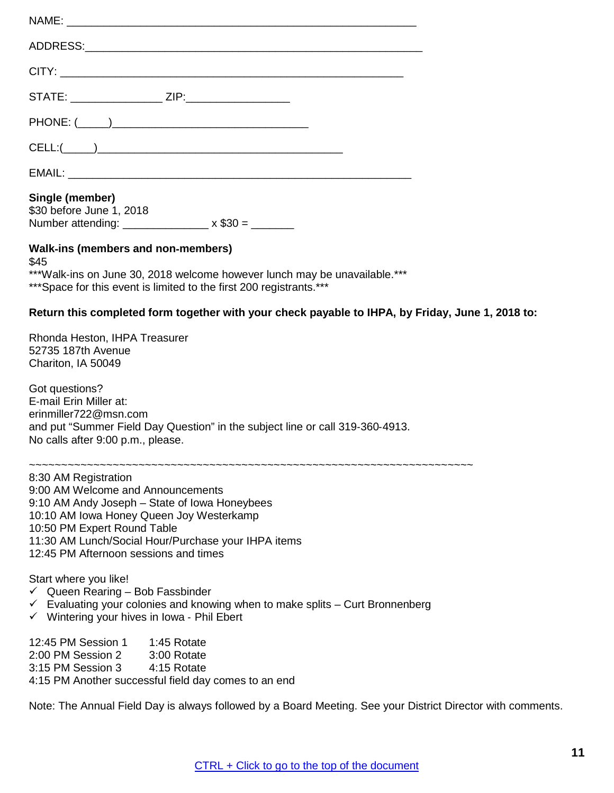| STATE: ___________________ ZIP:_______________________                                                                                                                                                                                                                                |
|---------------------------------------------------------------------------------------------------------------------------------------------------------------------------------------------------------------------------------------------------------------------------------------|
|                                                                                                                                                                                                                                                                                       |
|                                                                                                                                                                                                                                                                                       |
|                                                                                                                                                                                                                                                                                       |
| Single (member)<br>\$30 before June 1, 2018<br>Number attending: _________________ x \$30 = _______                                                                                                                                                                                   |
| Walk-ins (members and non-members)                                                                                                                                                                                                                                                    |
| \$45<br>***Walk-ins on June 30, 2018 welcome however lunch may be unavailable.***<br>*** Space for this event is limited to the first 200 registrants.***                                                                                                                             |
| Return this completed form together with your check payable to IHPA, by Friday, June 1, 2018 to:                                                                                                                                                                                      |
| Rhonda Heston, IHPA Treasurer<br>52735 187th Avenue<br>Chariton, IA 50049                                                                                                                                                                                                             |
| Got questions?<br>E-mail Erin Miller at:<br>erinmiller722@msn.com<br>and put "Summer Field Day Question" in the subject line or call 319-360-4913.<br>No calls after 9:00 p.m., please.                                                                                               |
| 8:30 AM Registration<br>9:00 AM Welcome and Announcements<br>9:10 AM Andy Joseph - State of Iowa Honeybees<br>10:10 AM Iowa Honey Queen Joy Westerkamp<br>10:50 PM Expert Round Table<br>11:30 AM Lunch/Social Hour/Purchase your IHPA items<br>12:45 PM Afternoon sessions and times |
| Start where you like!<br>$\checkmark$ Queen Rearing - Bob Fassbinder<br>Evaluating your colonies and knowing when to make splits - Curt Bronnenberg<br>$\checkmark$<br>$\checkmark$ Wintering your hives in Iowa - Phil Ebert                                                         |
| 12:45 PM Session 1 1:45 Rotate<br>2:00 PM Session 2<br>3:00 Rotate<br>3:15 PM Session 3<br>4:15 Rotate<br>4:15 PM Another successful field day comes to an end                                                                                                                        |
| Note: The Annual Field Day is always followed by a Board Meeting. See your District Director with comments.                                                                                                                                                                           |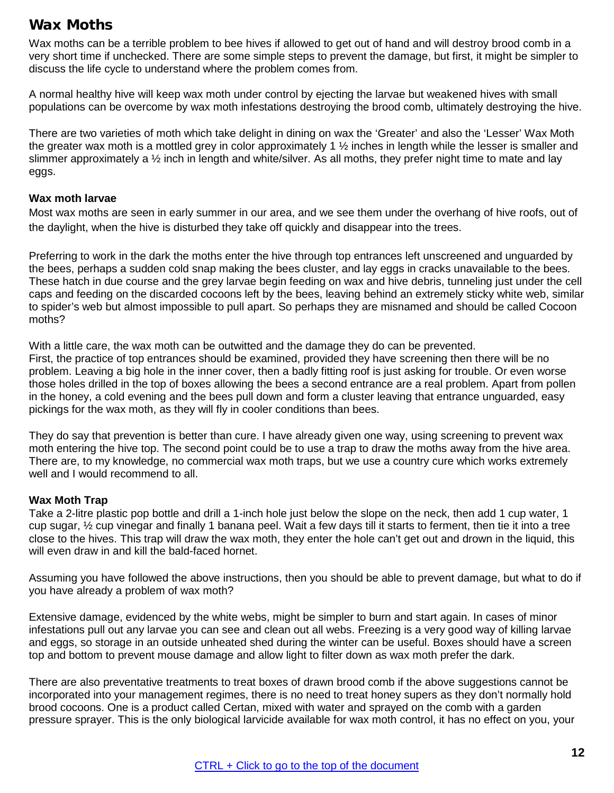## <span id="page-11-0"></span>Wax Moths

Wax moths can be a terrible problem to bee hives if allowed to get out of hand and will destroy brood comb in a very short time if unchecked. There are some simple steps to prevent the damage, but first, it might be simpler to discuss the life cycle to understand where the problem comes from.

A normal healthy hive will keep wax moth under control by ejecting the larvae but weakened hives with small populations can be overcome by wax moth infestations destroying the brood comb, ultimately destroying the hive.

There are two varieties of moth which take delight in dining on wax the 'Greater' and also the 'Lesser' Wax Moth the greater wax moth is a mottled grey in color approximately 1 ½ inches in length while the lesser is smaller and slimmer approximately a ½ inch in length and white/silver. As all moths, they prefer night time to mate and lay eggs.

#### **Wax moth larvae**

Most wax moths are seen in early summer in our area, and we see them under the overhang of hive roofs, out of the daylight, when the hive is disturbed they take off quickly and disappear into the trees.

Preferring to work in the dark the moths enter the hive through top entrances left unscreened and unguarded by the bees, perhaps a sudden cold snap making the bees cluster, and lay eggs in cracks unavailable to the bees. These hatch in due course and the grey larvae begin feeding on wax and hive debris, tunneling just under the cell caps and feeding on the discarded cocoons left by the bees, leaving behind an extremely sticky white web, similar to spider's web but almost impossible to pull apart. So perhaps they are misnamed and should be called Cocoon moths?

With a little care, the wax moth can be outwitted and the damage they do can be prevented.

First, the practice of top entrances should be examined, provided they have screening then there will be no problem. Leaving a big hole in the inner cover, then a badly fitting roof is just asking for trouble. Or even worse those holes drilled in the top of boxes allowing the bees a second entrance are a real problem. Apart from pollen in the honey, a cold evening and the bees pull down and form a cluster leaving that entrance unguarded, easy pickings for the wax moth, as they will fly in cooler conditions than bees.

They do say that prevention is better than cure. I have already given one way, using screening to prevent wax moth entering the hive top. The second point could be to use a trap to draw the moths away from the hive area. There are, to my knowledge, no commercial wax moth traps, but we use a country cure which works extremely well and I would recommend to all.

## **Wax Moth Trap**

Take a 2-litre plastic pop bottle and drill a 1-inch hole just below the slope on the neck, then add 1 cup water, 1 cup sugar, ½ cup vinegar and finally 1 banana peel. Wait a few days till it starts to ferment, then tie it into a tree close to the hives. This trap will draw the wax moth, they enter the hole can't get out and drown in the liquid, this will even draw in and kill the bald-faced hornet.

Assuming you have followed the above instructions, then you should be able to prevent damage, but what to do if you have already a problem of wax moth?

Extensive damage, evidenced by the white webs, might be simpler to burn and start again. In cases of minor infestations pull out any larvae you can see and clean out all webs. Freezing is a very good way of killing larvae and eggs, so storage in an outside unheated shed during the winter can be useful. Boxes should have a screen top and bottom to prevent mouse damage and allow light to filter down as wax moth prefer the dark.

There are also preventative treatments to treat boxes of drawn brood comb if the above suggestions cannot be incorporated into your management regimes, there is no need to treat honey supers as they don't normally hold brood cocoons. One is a product called Certan, mixed with water and sprayed on the comb with a garden pressure sprayer. This is the only biological larvicide available for wax moth control, it has no effect on you, your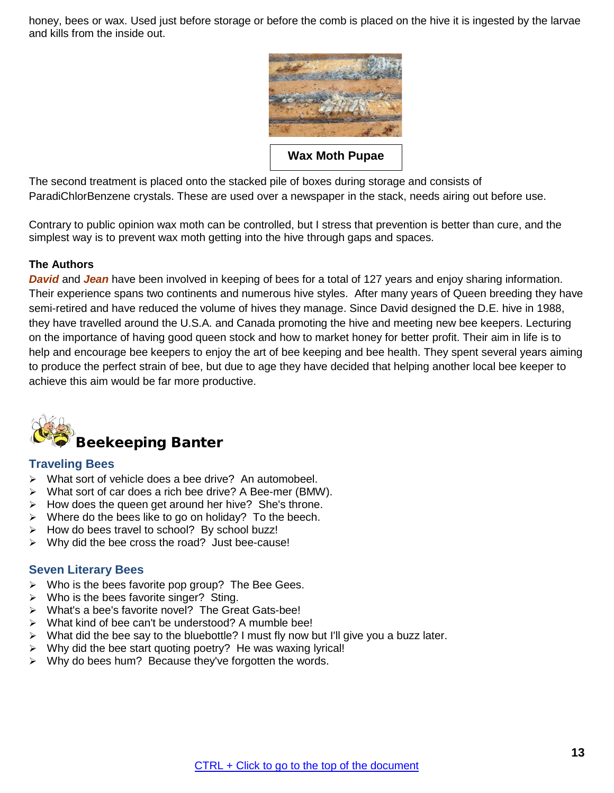honey, bees or wax. Used just before storage or before the comb is placed on the hive it is ingested by the larvae and kills from the inside out.



**Wax Moth Pupae**

The second treatment is placed onto the stacked pile of boxes during storage and consists of ParadiChlorBenzene crystals. These are used over a newspaper in the stack, needs airing out before use.

Contrary to public opinion wax moth can be controlled, but I stress that prevention is better than cure, and the simplest way is to prevent wax moth getting into the hive through gaps and spaces.

## **The Authors**

*David* and *Jean* have been involved in keeping of bees for a total of 127 years and enjoy sharing information. Their experience spans two continents and numerous hive styles. After many years of Queen breeding they have semi-retired and have reduced the volume of hives they manage. Since David designed the D.E. hive in 1988, they have travelled around the U.S.A. and Canada promoting the hive and meeting new bee keepers. Lecturing on the importance of having good queen stock and how to market honey for better profit. Their aim in life is to help and encourage bee keepers to enjoy the art of bee keeping and bee health. They spent several years aiming to produce the perfect strain of bee, but due to age they have decided that helping another local bee keeper to achieve this aim would be far more productive.

<span id="page-12-0"></span>

## <span id="page-12-1"></span>**Traveling Bees**

- > What sort of vehicle does a bee drive? An automobeel.
- What sort of car does a rich bee drive? A Bee-mer (BMW).
- $\triangleright$  How does the queen get around her hive? She's throne.
- $\triangleright$  Where do the bees like to go on holiday? To the beech.
- $\triangleright$  How do bees travel to school? By school buzz!
- $\triangleright$  Why did the bee cross the road? Just bee-cause!

## <span id="page-12-2"></span>**Seven Literary Bees**

- $\triangleright$  Who is the bees favorite pop group? The Bee Gees.
- $\triangleright$  Who is the bees favorite singer? Sting.
- What's a bee's favorite novel? The Great Gats-bee!
- > What kind of bee can't be understood? A mumble bee!
- $\triangleright$  What did the bee say to the bluebottle? I must fly now but I'll give you a buzz later.
- $\triangleright$  Why did the bee start quoting poetry? He was waxing lyrical!
- $\triangleright$  Why do bees hum? Because they've forgotten the words.